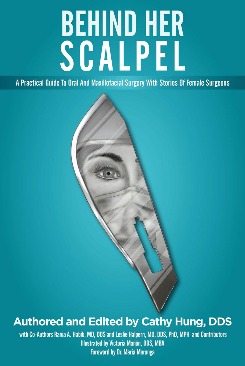# **BEHIND HER<br>SCALPEL**

A Practical Guide To Oral And Maxillofacial Surgery With Stories Of Female Surgeons

# **Authored and Edited by Cathy Hung, DDS**

with Co-Authors Rania A. Habib, MD, DDS and Leslie Halpern, MD, DDS, PhD, MPH and Contributors **Illustrated by Victoria Mañón, DDS, MBA Foreword by Dr. Maria Maranga**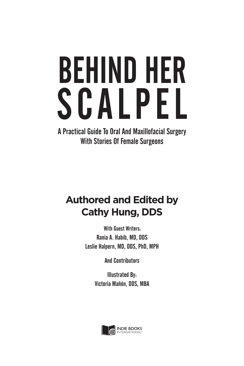# BEHIND HER SCALPEL

A Practical Guide To Oral And Maxillofacial Surgery With Stories Of Female Surgeons

### **Authored and Edited by Cathy Hung, DDS**

With Guest Writers: Rania A. Habib, MD, DDS Leslie Halpern, MD, DDS, PhD, MPH

And Contributors

Illustrated By: Victoria Mañón, DDS, MBA

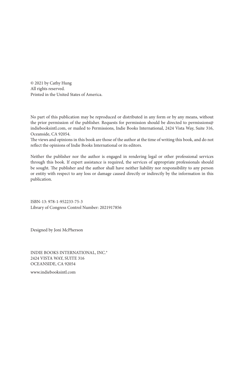© 2021 by Cathy Hung All rights reserved. Printed in the United States of America.

No part of this publication may be reproduced or distributed in any form or by any means, without the prior permission of the publisher. Requests for permission should be directed to permissions@ indiebooksintl.com, or mailed to Permissions, Indie Books International, 2424 Vista Way, Suite 316, Oceanside, CA 92054.

The views and opinions in this book are those of the author at the time of writing this book, and do not reflect the opinions of Indie Books International or its editors.

Neither the publisher nor the author is engaged in rendering legal or other professional services through this book. If expert assistance is required, the services of appropriate professionals should be sought. The publisher and the author shall have neither liability nor responsibility to any person or entity with respect to any loss or damage caused directly or indirectly by the information in this publication.

ISBN-13: 978-1-952233-75-3 Library of Congress Control Number: 2021917856

Designed by Joni McPherson

INDIE BOOKS INTERNATIONAL, INC.® 2424 VISTA WAY, SUITE 316 OCEANSIDE, CA 92054

www.indiebooksintl.com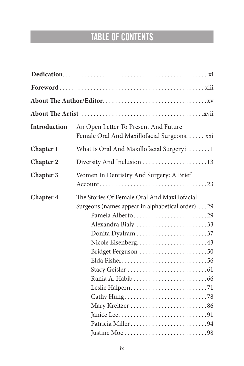# TABLE OF CONTENTS

| <b>Introduction</b> | An Open Letter To Present And Future<br>Female Oral And Maxillofacial Surgeons. xxi                                                                                                                                               |
|---------------------|-----------------------------------------------------------------------------------------------------------------------------------------------------------------------------------------------------------------------------------|
| Chapter 1           | What Is Oral And Maxillofacial Surgery? 1                                                                                                                                                                                         |
| <b>Chapter 2</b>    | Diversity And Inclusion 13                                                                                                                                                                                                        |
| <b>Chapter 3</b>    | Women In Dentistry And Surgery: A Brief                                                                                                                                                                                           |
| <b>Chapter 4</b>    | The Stories Of Female Oral And Maxillofacial<br>Surgeons (names appear in alphabetical order) 29<br>Pamela Alberto29<br>Alexandra Bialy 33<br>Donita Dyalram 37<br>Nicole Eisenberg43<br>Bridget Ferguson 50<br>Patricia Miller94 |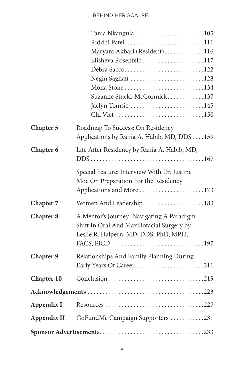#### BEHIND HER SCALPEL

|                   | Tania Nkangula 105                          |
|-------------------|---------------------------------------------|
|                   | Riddhi Patel111                             |
|                   | Maryam Akbari (Resident)116                 |
|                   | Elisheva Rosenfeld117                       |
|                   | Debra Sacco122                              |
|                   | Negin Saghafi 128                           |
|                   | Mona Stone134                               |
|                   | Suzanne Stucki-McCormick137                 |
|                   | Jaclyn Tomsic 145                           |
|                   |                                             |
| <b>Chapter 5</b>  | Roadmap To Success: On Residency            |
|                   | Applications by Rania A. Habib, MD, DDS159  |
| Chapter 6         | Life After Residency by Rania A. Habib, MD, |
|                   |                                             |
|                   | Special Feature: Interview With Dr. Justine |
|                   | Moe On Preparation For the Residency        |
|                   | Applications and More 173                   |
|                   |                                             |
| Chapter 7         | Women And Leadership183                     |
| <b>Chapter 8</b>  | A Mentor's Journey: Navigating A Paradigm   |
|                   | Shift In Oral And Maxillofacial Surgery by  |
|                   | Leslie R. Halpern, MD, DDS, PhD, MPH,       |
|                   |                                             |
| <b>Chapter 9</b>  | Relationships And Family Planning During    |
|                   | Early Years Of Career 211                   |
| <b>Chapter 10</b> |                                             |
|                   |                                             |
| Appendix I        |                                             |
| Appendix II       | GoFundMe Campaign Supporters 231            |
|                   |                                             |
|                   |                                             |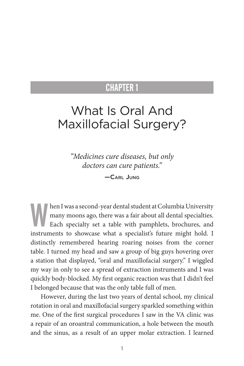## What Is Oral And Maxillofacial Surgery?

*"Medicines cure diseases, but only doctors can cure patients."* —Carl Jung

hen I was a second-year dental student at Columbia University<br>many moons ago, there was a fair about all dental specialties.<br>Each specialty set a table with pamphlets, brochures, and<br>interments to about as a specialistic f many moons ago, there was a fair about all dental specialties. Each specialty set a table with pamphlets, brochures, and instruments to showcase what a specialist's future might hold. I distinctly remembered hearing roaring noises from the corner table. I turned my head and saw a group of big guys hovering over a station that displayed, "oral and maxillofacial surgery." I wiggled my way in only to see a spread of extraction instruments and I was quickly body-blocked. My first organic reaction was that I didn't feel I belonged because that was the only table full of men.

However, during the last two years of dental school, my clinical rotation in oral and maxillofacial surgery sparkled something within me. One of the first surgical procedures I saw in the VA clinic was a repair of an oroantral communication, a hole between the mouth and the sinus, as a result of an upper molar extraction. I learned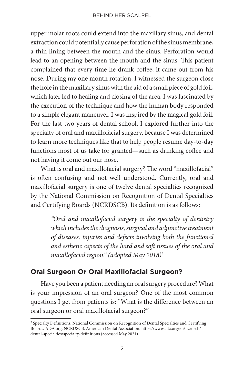upper molar roots could extend into the maxillary sinus, and dental extraction could potentially cause perforation of the sinus membrane, a thin lining between the mouth and the sinus. Perforation would lead to an opening between the mouth and the sinus. This patient complained that every time he drank coffee, it came out from his nose. During my one month rotation, I witnessed the surgeon close the hole in the maxillary sinus with the aid of a small piece of gold foil, which later led to healing and closing of the area. I was fascinated by the execution of the technique and how the human body responded to a simple elegant maneuver. I was inspired by the magical gold foil. For the last two years of dental school, I explored further into the specialty of oral and maxillofacial surgery, because I was determined to learn more techniques like that to help people resume day-to-day functions most of us take for granted—such as drinking coffee and not having it come out our nose.

What is oral and maxillofacial surgery? The word "maxillofacial" is often confusing and not well understood. Currently, oral and maxillofacial surgery is one of twelve dental specialties recognized by the National Commission on Recognition of Dental Specialties and Certifying Boards (NCRDSCB). Its definition is as follows:

> *"Oral and maxillofacial surgery is the specialty of dentistry which includes the diagnosis, surgical and adjunctive treatment of diseases, injuries and defects involving both the functional and esthetic aspects of the hard and soft tissues of the oral and maxillofacial region." (adopted May 2018)*<sup>2</sup>

#### **Oral Surgeon Or Oral Maxillofacial Surgeon?**

Have you been a patient needing an oral surgery procedure? What is your impression of an oral surgeon? One of the most common questions I get from patients is: "What is the difference between an oral surgeon or oral maxillofacial surgeon?"

<sup>&</sup>lt;sup>2</sup> Specialty Definitions. National Commission on Recognition of Dental Specialties and Certifying Boards. ADA.org. NCRDSCB. American Dental Association. https://www.ada.org/en/ncrdscb/ dental-specialties/specialty-definitions (accessed May 2021)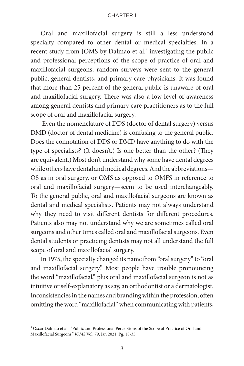Oral and maxillofacial surgery is still a less understood specialty compared to other dental or medical specialties. In a recent study from JOMS by Dalmao et al.<sup>3</sup> investigating the public and professional perceptions of the scope of practice of oral and maxillofacial surgeons, random surveys were sent to the general public, general dentists, and primary care physicians. It was found that more than 25 percent of the general public is unaware of oral and maxillofacial surgery. There was also a low level of awareness among general dentists and primary care practitioners as to the full scope of oral and maxillofacial surgery.

 Even the nomenclature of DDS (doctor of dental surgery) versus DMD (doctor of dental medicine) is confusing to the general public. Does the connotation of DDS or DMD have anything to do with the type of specialists? (It doesn't.) Is one better than the other? (They are equivalent.) Most don't understand why some have dental degrees while others have dental and medical degrees. And the abbreviations— OS as in oral surgery, or OMS as opposed to OMFS in reference to oral and maxillofacial surgery—seem to be used interchangeably. To the general public, oral and maxillofacial surgeons are known as dental and medical specialists. Patients may not always understand why they need to visit different dentists for different procedures. Patients also may not understand why we are sometimes called oral surgeons and other times called oral and maxillofacial surgeons. Even dental students or practicing dentists may not all understand the full scope of oral and maxillofacial surgery.

In 1975, the specialty changed its name from "oral surgery" to "oral and maxillofacial surgery." Most people have trouble pronouncing the word "maxillofacial," plus oral and maxillofacial surgeon is not as intuitive or self-explanatory as say, an orthodontist or a dermatologist. Inconsistencies in the names and branding within the profession, often omitting the word "maxillofacial" when communicating with patients,

<sup>&</sup>lt;sup>3</sup> Oscar Dalmao et al., "Public and Professional Perceptions of the Scope of Practice of Oral and Maxillofacial Surgeons." *JOMS* Vol. 79, Jan 2021: Pg. 18-35.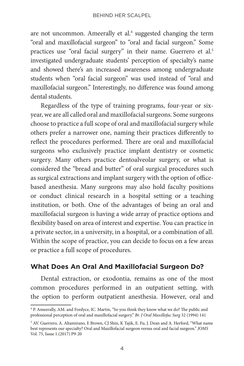are not uncommon. Ameerally et al.<sup>4</sup> suggested changing the term "oral and maxillofacial surgeon" to "oral and facial surgeon." Some practices use "oral facial surgery" in their name. Guerrero et al.<sup>5</sup> investigated undergraduate students' perception of specialty's name and showed there's an increased awareness among undergraduate students when "oral facial surgeon" was used instead of "oral and maxillofacial surgeon." Interestingly, no difference was found among dental students.

Regardless of the type of training programs, four-year or sixyear, we are all called oral and maxillofacial surgeons. Some surgeons choose to practice a full scope of oral and maxillofacial surgery while others prefer a narrower one, naming their practices differently to reflect the procedures performed. There are oral and maxillofacial surgeons who exclusively practice implant dentistry or cosmetic surgery. Many others practice dentoalveolar surgery, or what is considered the "bread and butter" of oral surgical procedures such as surgical extractions and implant surgery with the option of officebased anesthesia. Many surgeons may also hold faculty positions or conduct clinical research in a hospital setting or a teaching institution, or both. One of the advantages of being an oral and maxillofacial surgeon is having a wide array of practice options and flexibility based on area of interest and expertise. You can practice in a private sector, in a university, in a hospital, or a combination of all. Within the scope of practice, you can decide to focus on a few areas or practice a full scope of procedures.

#### **What Does An Oral And Maxillofacial Surgeon Do?**

Dental extraction, or exodontia, remains as one of the most common procedures performed in an outpatient setting, with the option to perform outpatient anesthesia. However, oral and

<sup>4</sup> P. Ameerally, AM. and Fordyce, IC. Martin, "So you think they know what we do? The public and professional perception of oral and maxillofacial surgery." *Br. J Oral Maxillofac Surg* 32 (1994) 141

<sup>5</sup> AV. Guerrero, A. Altamirano, E Brown, CJ Shin, K Tajik, E. Fu, J. Dean and A. Herford, "What name best represents our specialty? Oral and Maxillofacial surgeon versus oral and facial surgeon." *JOMS* Vol. 75, Issue 1.(2017) P9-20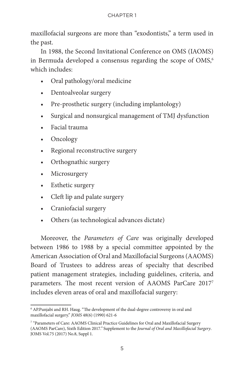maxillofacial surgeons are more than "exodontists," a term used in the past.

In 1988, the Second Invitational Conference on OMS (IAOMS) in Bermuda developed a consensus regarding the scope of  $OMS<sub>6</sub>$ which includes:

- Oral pathology/oral medicine
- Dentoalveolar surgery
- Pre-prosthetic surgery (including implantology)
- Surgical and nonsurgical management of TMJ dysfunction
- Facial trauma
- Oncology
- Regional reconstructive surgery
- Orthognathic surgery
- Microsurgery
- Esthetic surgery
- Cleft lip and palate surgery
- Craniofacial surgery
- Others (as technological advances dictate)

Moreover, the *Parameters of Care* was originally developed between 1986 to 1988 by a special committee appointed by the American Association of Oral and Maxillofacial Surgeons (AAOMS) Board of Trustees to address areas of specialty that described patient management strategies, including guidelines, criteria, and parameters. The most recent version of AAOMS ParCare 20177 includes eleven areas of oral and maxillofacial surgery:

<sup>6</sup> AP.Punjabi and RH. Haug. "The development of the dual-degree controversy in oral and maxillofacial surgery." *JOMS* 48(6) (1990) 621-6

<sup>7</sup> "Parameters of Care: AAOMS Clinical Practice Guidelines for Oral and Maxillofacial Surgery (AAOMS ParCare), Sixth Edition 2017*."* Supplement to the *Journal of Oral and Maxillofacial Surgery*. JOMS Vol.75 (2017) No.8, Suppl 1.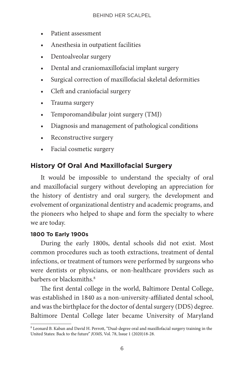- Patient assessment
- Anesthesia in outpatient facilities
- Dentoalveolar surgery
- Dental and craniomaxillofacial implant surgery
- Surgical correction of maxillofacial skeletal deformities
- Cleft and craniofacial surgery
- Trauma surgery
- Temporomandibular joint surgery (TMJ)
- Diagnosis and management of pathological conditions
- Reconstructive surgery
- Facial cosmetic surgery

#### **History Of Oral And Maxillofacial Surgery**

It would be impossible to understand the specialty of oral and maxillofacial surgery without developing an appreciation for the history of dentistry and oral surgery, the development and evolvement of organizational dentistry and academic programs, and the pioneers who helped to shape and form the specialty to where we are today.

#### **1800 To Early 1900s**

During the early 1800s, dental schools did not exist. Most common procedures such as tooth extractions, treatment of dental infections, or treatment of tumors were performed by surgeons who were dentists or physicians, or non-healthcare providers such as barbers or blacksmiths.8

The first dental college in the world, Baltimore Dental College, was established in 1840 as a non-university-affiliated dental school, and was the birthplace for the doctor of dental surgery (DDS) degree. Baltimore Dental College later became University of Maryland

<sup>&</sup>lt;sup>8</sup> Leonard B. Kaban and David H. Perrott, "Dual-degree oral and maxillofacial surgery training in the United States: Back to the future" *JOMS,* Vol. 78, Issue 1 (2020)18-28.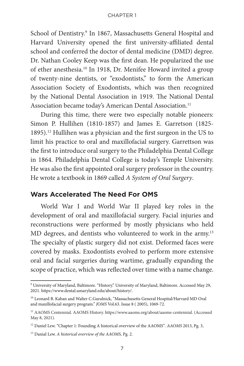School of Dentistry.<sup>9</sup> In 1867, Massachusetts General Hospital and Harvard University opened the first university-affiliated dental school and conferred the doctor of dental medicine (DMD) degree. Dr. Nathan Cooley Keep was the first dean. He popularized the use of ether anesthesia.<sup>10</sup> In 1918, Dr. Menifee Howard invited a group of twenty-nine dentists, or "exodontists," to form the American Association Society of Exodontists, which was then recognized by the National Dental Association in 1919. The National Dental Association became today's American Dental Association.<sup>11</sup>

During this time, there were two especially notable pioneers: Simon P. Hullihen (1810-1857) and James E. Garretson (1825- 1895).12 Hullihen was a physician and the first surgeon in the US to limit his practice to oral and maxillofacial surgery. Garrettson was the first to introduce oral surgery to the Philadelphia Dental College in 1864. Philadelphia Dental College is today's Temple University. He was also the first appointed oral surgery professor in the country. He wrote a textbook in 1869 called *A System of Oral Surgery*.

#### **Wars Accelerated The Need For OMS**

World War I and World War II played key roles in the development of oral and maxillofacial surgery. Facial injuries and reconstructions were performed by mostly physicians who held MD degrees, and dentists who volunteered to work in the army.<sup>13</sup> The specialty of plastic surgery did not exist. Deformed faces were covered by masks. Exodontists evolved to perform more extensive oral and facial surgeries during wartime, gradually expanding the scope of practice, which was reflected over time with a name change.

<sup>9</sup> University of Maryland, Baltimore. "History." University of Maryland, Baltimore. Accessed May 29, 2021. https://www.dental.umaryland.edu/about/history/.

<sup>10</sup> Leonard B. Kaban and Walter C.Guralnick, "Massachusetts General Hospital/Harvard MD Oral and maxillofacial surgery program." *JOMS* Vol.63. Issue 8 ( 2005), 1069-72.

<sup>&</sup>lt;sup>11</sup> AAOMS Centennial. AAOMS History. https://www.aaoms.org/about/aaoms-centennial. (Accessed May 8, 2021).

<sup>12</sup> Daniel Lew. "Chapter 1: Founding A historical overview of the AAOMS"*. AAOMS* 2013, Pg. 3,

<sup>13</sup> Danial Lew. *A historical overview of the AAOMS*, Pg. 2.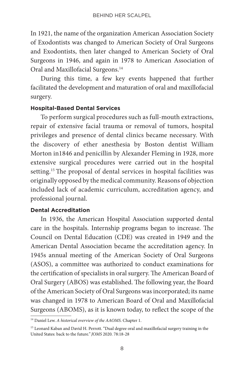In 1921, the name of the organization American Association Society of Exodontists was changed to American Society of Oral Surgeons and Exodontists, then later changed to American Society of Oral Surgeons in 1946, and again in 1978 to American Association of Oral and Maxillofacial Surgeons.<sup>14</sup>

During this time, a few key events happened that further facilitated the development and maturation of oral and maxillofacial surgery.

#### **Hospital-Based Dental Services**

To perform surgical procedures such as full-mouth extractions, repair of extensive facial trauma or removal of tumors, hospital privileges and presence of dental clinics became necessary. With the discovery of ether anesthesia by Boston dentist William Morton in1846 and penicillin by Alexander Fleming in 1928, more extensive surgical procedures were carried out in the hospital setting.15 The proposal of dental services in hospital facilities was originally opposed by the medical community. Reasons of objection included lack of academic curriculum, accreditation agency, and professional journal.

#### **Dental Accreditation**

In 1936, the American Hospital Association supported dental care in the hospitals. Internship programs began to increase. The Council on Dental Education (CDE) was created in 1949 and the American Dental Association became the accreditation agency. In 1945s annual meeting of the American Society of Oral Surgeons (ASOS), a committee was authorized to conduct examinations for the certification of specialists in oral surgery. The American Board of Oral Surgery (ABOS) was established. The following year, the Board of the American Society of Oral Surgeons was incorporated; its name was changed in 1978 to American Board of Oral and Maxillofacial Surgeons (ABOMS), as it is known today, to reflect the scope of the

<sup>14</sup> Daniel Lew. *A historical overview of the AAOMS*. Chapter 1.

<sup>&</sup>lt;sup>15</sup> Leonard Kaban and David H. Perrott. "Dual degree oral and maxillofacial surgery training in the United States: back to the future*." JOMS* 2020. 78:18-28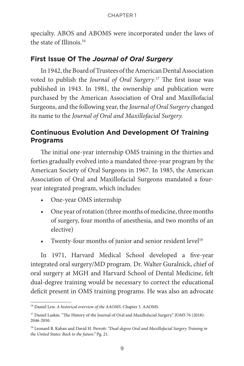specialty. ABOS and ABOMS were incorporated under the laws of the state of Illinois.16

#### **First Issue Of The** *Journal of Oral Surgery*

In 1942, the Board of Trustees of the American Dental Association voted to publish the *Journal of Oral Surgery*. 17 The first issue was published in 1943. In 1981, the ownership and publication were purchased by the American Association of Oral and Maxillofacial Surgeons, and the following year, the *Journal of Oral Surgery* changed its name to the *Journal of Oral and Maxillofacial Surgery.* 

#### **Continuous Evolution And Development Of Training Programs**

The initial one-year internship OMS training in the thirties and forties gradually evolved into a mandated three-year program by the American Society of Oral Surgeons in 1967. In 1985, the American Association of Oral and Maxillofacial Surgeons mandated a fouryear integrated program, which includes:

- One-year OMS internship
- One year of rotation (three months of medicine, three months of surgery, four months of anesthesia, and two months of an elective)
- Twenty-four months of junior and senior resident level<sup>18</sup>

In 1971, Harvard Medical School developed a five-year integrated oral surgery/MD program. Dr. Walter Guralnick, chief of oral surgery at MGH and Harvard School of Dental Medicine, felt dual-degree training would be necessary to correct the educational deficit present in OMS training programs. He was also an advocate

<sup>16</sup> Daniel Lew. *A historical overview of the AAOMS*. Chapter 3. AAOMS.

<sup>&</sup>lt;sup>17</sup> Daniel Laskin. "The History of the Journal of Oral and Maxillofacial Surgery." *JOMS* 76 (2018): 2046-2050.

<sup>18</sup> Leonard B. Kaban and David H. Perrott: *"Dual-degree Oral and Maxillofacial Surgery Training in the United States: Back to the future."* Pg. 21.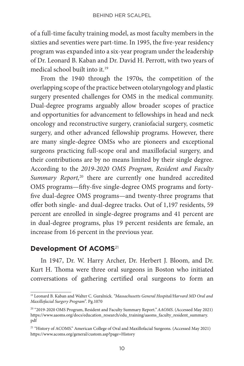of a full-time faculty training model, as most faculty members in the sixties and seventies were part-time. In 1995, the five-year residency program was expanded into a six-year program under the leadership of Dr. Leonard B. Kaban and Dr. David H. Perrott, with two years of medical school built into it.19

From the 1940 through the 1970s, the competition of the overlapping scope of the practice between otolaryngology and plastic surgery presented challenges for OMS in the medical community. Dual-degree programs arguably allow broader scopes of practice and opportunities for advancement to fellowships in head and neck oncology and reconstructive surgery, craniofacial surgery, cosmetic surgery, and other advanced fellowship programs. However, there are many single-degree OMSs who are pioneers and exceptional surgeons practicing full-scope oral and maxillofacial surgery, and their contributions are by no means limited by their single degree. According to the *2019-2020 OMS Program, Resident and Faculty Summary Report,*20 there are currently one hundred accredited OMS programs—fifty-five single-degree OMS programs and fortyfive dual-degree OMS programs—and twenty-three programs that offer both single- and dual-degree tracks. Out of 1,197 residents, 59 percent are enrolled in single-degree programs and 41 percent are in dual-degree programs, plus 19 percent residents are female, an increase from 16 percent in the previous year.

#### **Development Of ACOMS**<sup>21</sup>

In 1947, Dr. W. Harry Archer, Dr. Herbert J. Bloom, and Dr. Kurt H. Thoma were three oral surgeons in Boston who initiated conversations of gathering certified oral surgeons to form an

<sup>19</sup> Leonard B. Kaban and Walter C. Guralnick. *"Massachusetts General Hospital/Harvard MD Oral and Maxillofacial Surgery Program".* Pg.1070

<sup>20 &</sup>quot;2019-2020 OMS Program, Resident and Faculty Summary Report*." AAOMS*. (Accessed May 2021) https://www.aaoms.org/docs/education\_research/edu\_training/aaoms\_faculty\_resident\_summary. pdf

<sup>&</sup>lt;sup>21</sup> "History of ACOMS." American College of Oral and Maxillofacial Surgeons. (Accessed May 2021) https://www.acoms.org/general/custom.asp?page=History